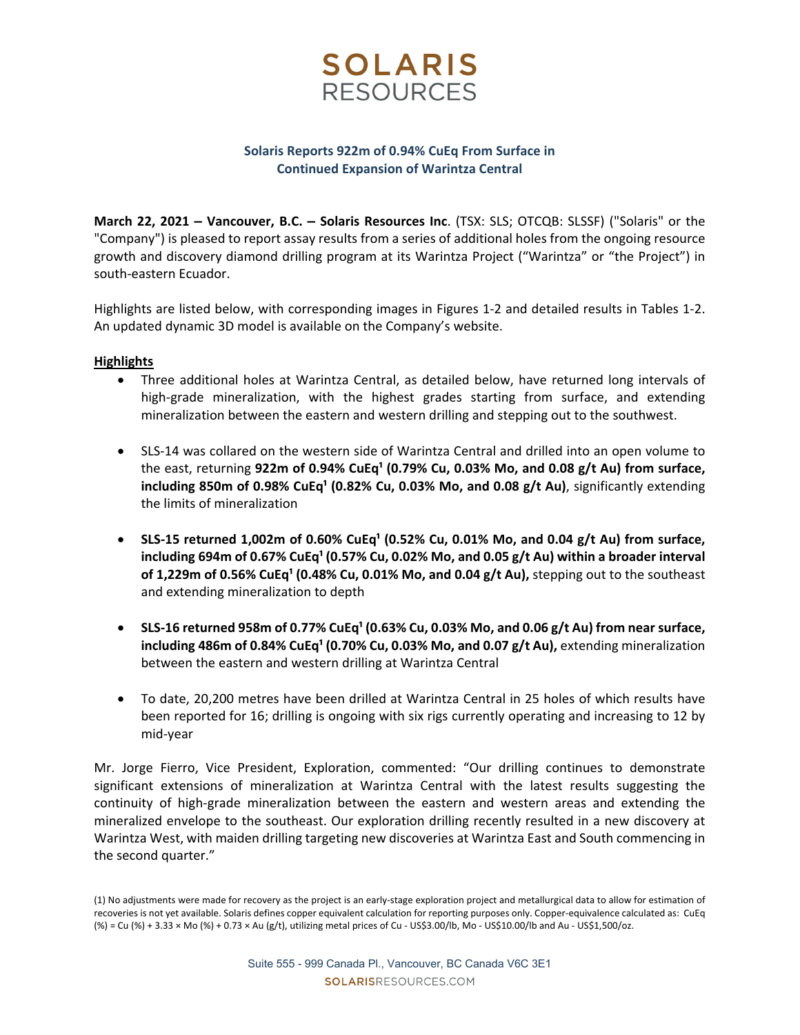

## **Solaris Reports 922m of 0.94% CuEq From Surface in Continued Expansion of Warintza Central**

**March 22, 2021 – Vancouver, B.C. – Solaris Resources Inc**. (TSX: SLS; OTCQB: SLSSF) ("Solaris" or the "Company") is pleased to report assay results from a series of additional holes from the ongoing resource growth and discovery diamond drilling program at its Warintza Project ("Warintza" or "the Project") in south‐eastern Ecuador.

Highlights are listed below, with corresponding images in Figures 1‐2 and detailed results in Tables 1‐2. An updated dynamic 3D model is available on the Company's website.

## **Highlights**

- Three additional holes at Warintza Central, as detailed below, have returned long intervals of high-grade mineralization, with the highest grades starting from surface, and extending mineralization between the eastern and western drilling and stepping out to the southwest.
- SLS-14 was collared on the western side of Warintza Central and drilled into an open volume to the east, returning **922m of 0.94% CuEq¹ (0.79% Cu, 0.03% Mo, and 0.08 g/t Au) from surface, including 850m of 0.98% CuEq<sup>1</sup> (0.82% Cu, 0.03% Mo, and 0.08 g/t Au), significantly extending** the limits of mineralization
- **SLS‐15 returned 1,002m of 0.60% CuEq¹ (0.52% Cu, 0.01% Mo, and 0.04 g/t Au) from surface, including 694m of 0.67% CuEq¹ (0.57% Cu, 0.02% Mo, and 0.05 g/t Au) within a broader interval of 1,229m** of **0.56%** CuEq<sup>1</sup> (0.48% Cu, 0.01% Mo, and 0.04 g/t Au), stepping out to the southeast and extending mineralization to depth
- SLS-16 returned 958m of 0.77% CuEq<sup>1</sup> (0.63% Cu, 0.03% Mo, and 0.06 g/t Au) from near surface, **including 486m of 0.84% CuEq¹ (0.70% Cu, 0.03% Mo, and 0.07 g/t Au),** extending mineralization between the eastern and western drilling at Warintza Central
- To date, 20,200 metres have been drilled at Warintza Central in 25 holes of which results have been reported for 16; drilling is ongoing with six rigs currently operating and increasing to 12 by mid‐year

Mr. Jorge Fierro, Vice President, Exploration, commented: "Our drilling continues to demonstrate significant extensions of mineralization at Warintza Central with the latest results suggesting the continuity of high‐grade mineralization between the eastern and western areas and extending the mineralized envelope to the southeast. Our exploration drilling recently resulted in a new discovery at Warintza West, with maiden drilling targeting new discoveries at Warintza East and South commencing in the second quarter."

<sup>(1)</sup> No adjustments were made for recovery as the project is an early‐stage exploration project and metallurgical data to allow for estimation of recoveries is not yet available. Solaris defines copper equivalent calculation for reporting purposes only. Copper‐equivalence calculated as: CuEq (%) = Cu (%) + 3.33 × Mo (%) + 0.73 × Au (g/t), utilizing metal prices of Cu ‐ US\$3.00/lb, Mo ‐ US\$10.00/lb and Au ‐ US\$1,500/oz.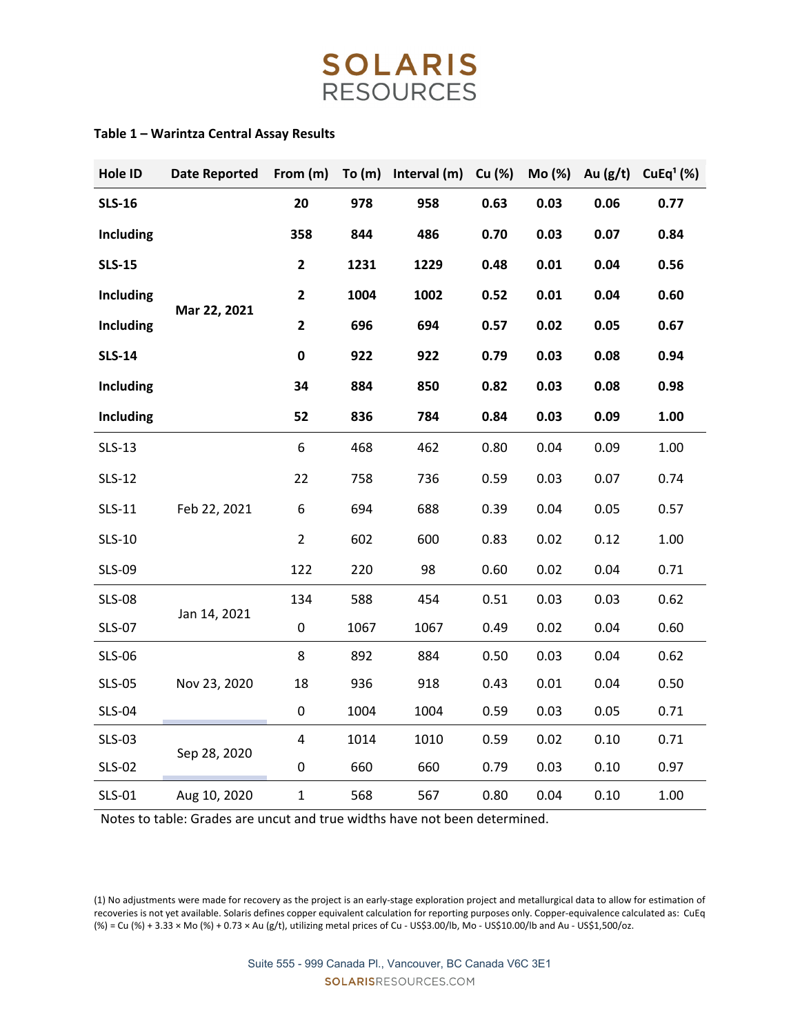# **SOLARIS** RESOURCES

## **Table 1 – Warintza Central Assay Results**

| Hole ID          | <b>Date Reported</b> |                         |      | From $(m)$ To $(m)$ Interval $(m)$ Cu $(\%)$ |      | Mo (%) | Au $(g/t)$ | CuEq <sup>1</sup> (%) |
|------------------|----------------------|-------------------------|------|----------------------------------------------|------|--------|------------|-----------------------|
| <b>SLS-16</b>    |                      | 20                      | 978  | 958                                          | 0.63 | 0.03   | 0.06       | 0.77                  |
| <b>Including</b> |                      | 358                     | 844  | 486                                          | 0.70 | 0.03   | 0.07       | 0.84                  |
| <b>SLS-15</b>    | Mar 22, 2021         | $\mathbf{2}$            | 1231 | 1229                                         | 0.48 | 0.01   | 0.04       | 0.56                  |
| <b>Including</b> |                      | $\overline{\mathbf{2}}$ | 1004 | 1002                                         | 0.52 | 0.01   | 0.04       | 0.60                  |
| <b>Including</b> |                      | $\mathbf{2}$            | 696  | 694                                          | 0.57 | 0.02   | 0.05       | 0.67                  |
| <b>SLS-14</b>    |                      | $\mathbf 0$             | 922  | 922                                          | 0.79 | 0.03   | 0.08       | 0.94                  |
| <b>Including</b> |                      | 34                      | 884  | 850                                          | 0.82 | 0.03   | 0.08       | 0.98                  |
| <b>Including</b> |                      | 52                      | 836  | 784                                          | 0.84 | 0.03   | 0.09       | 1.00                  |
| <b>SLS-13</b>    | Feb 22, 2021         | 6                       | 468  | 462                                          | 0.80 | 0.04   | 0.09       | 1.00                  |
| <b>SLS-12</b>    |                      | 22                      | 758  | 736                                          | 0.59 | 0.03   | 0.07       | 0.74                  |
| <b>SLS-11</b>    |                      | 6                       | 694  | 688                                          | 0.39 | 0.04   | 0.05       | 0.57                  |
| <b>SLS-10</b>    |                      | $\overline{2}$          | 602  | 600                                          | 0.83 | 0.02   | 0.12       | 1.00                  |
| <b>SLS-09</b>    |                      | 122                     | 220  | 98                                           | 0.60 | 0.02   | 0.04       | 0.71                  |
| <b>SLS-08</b>    | Jan 14, 2021         | 134                     | 588  | 454                                          | 0.51 | 0.03   | 0.03       | 0.62                  |
| <b>SLS-07</b>    |                      | $\mathbf 0$             | 1067 | 1067                                         | 0.49 | 0.02   | 0.04       | 0.60                  |
| <b>SLS-06</b>    | Nov 23, 2020         | 8                       | 892  | 884                                          | 0.50 | 0.03   | 0.04       | 0.62                  |
| <b>SLS-05</b>    |                      | 18                      | 936  | 918                                          | 0.43 | 0.01   | 0.04       | 0.50                  |
| <b>SLS-04</b>    |                      | 0                       | 1004 | 1004                                         | 0.59 | 0.03   | 0.05       | 0.71                  |
| <b>SLS-03</b>    |                      | 4                       | 1014 | 1010                                         | 0.59 | 0.02   | 0.10       | 0.71                  |
| <b>SLS-02</b>    | Sep 28, 2020         | 0                       | 660  | 660                                          | 0.79 | 0.03   | 0.10       | 0.97                  |
| SLS-01           | Aug 10, 2020         | $\mathbf 1$             | 568  | 567                                          | 0.80 | 0.04   | 0.10       | 1.00                  |

Notes to table: Grades are uncut and true widths have not been determined.

(1) No adjustments were made for recovery as the project is an early‐stage exploration project and metallurgical data to allow for estimation of recoveries is not yet available. Solaris defines copper equivalent calculation for reporting purposes only. Copper‐equivalence calculated as: CuEq (%) = Cu (%) + 3.33 × Mo (%) + 0.73 × Au (g/t), utilizing metal prices of Cu ‐ US\$3.00/lb, Mo ‐ US\$10.00/lb and Au ‐ US\$1,500/oz.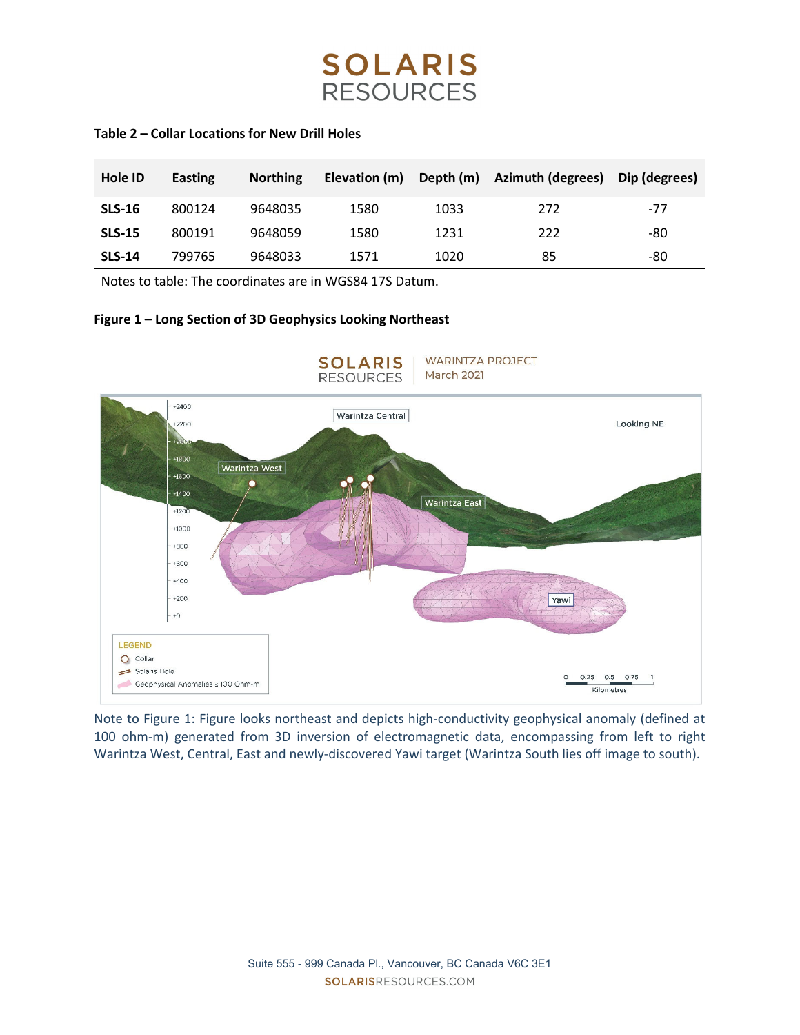

## **Table 2 – Collar Locations for New Drill Holes**

| Hole ID       | Easting | <b>Northing</b> | Elevation (m) |      | Depth (m) Azimuth (degrees) | Dip (degrees) |
|---------------|---------|-----------------|---------------|------|-----------------------------|---------------|
| <b>SLS-16</b> | 800124  | 9648035         | 1580          | 1033 | 272                         | $-77$         |
| <b>SLS-15</b> | 800191  | 9648059         | 1580          | 1231 | 222                         | -80           |
| <b>SLS-14</b> | 799765  | 9648033         | 1571          | 1020 | 85                          | -80           |

Notes to table: The coordinates are in WGS84 17S Datum.

## **Figure 1 – Long Section of 3D Geophysics Looking Northeast**



Note to Figure 1: Figure looks northeast and depicts high‐conductivity geophysical anomaly (defined at 100 ohm-m) generated from 3D inversion of electromagnetic data, encompassing from left to right Warintza West, Central, East and newly-discovered Yawi target (Warintza South lies off image to south).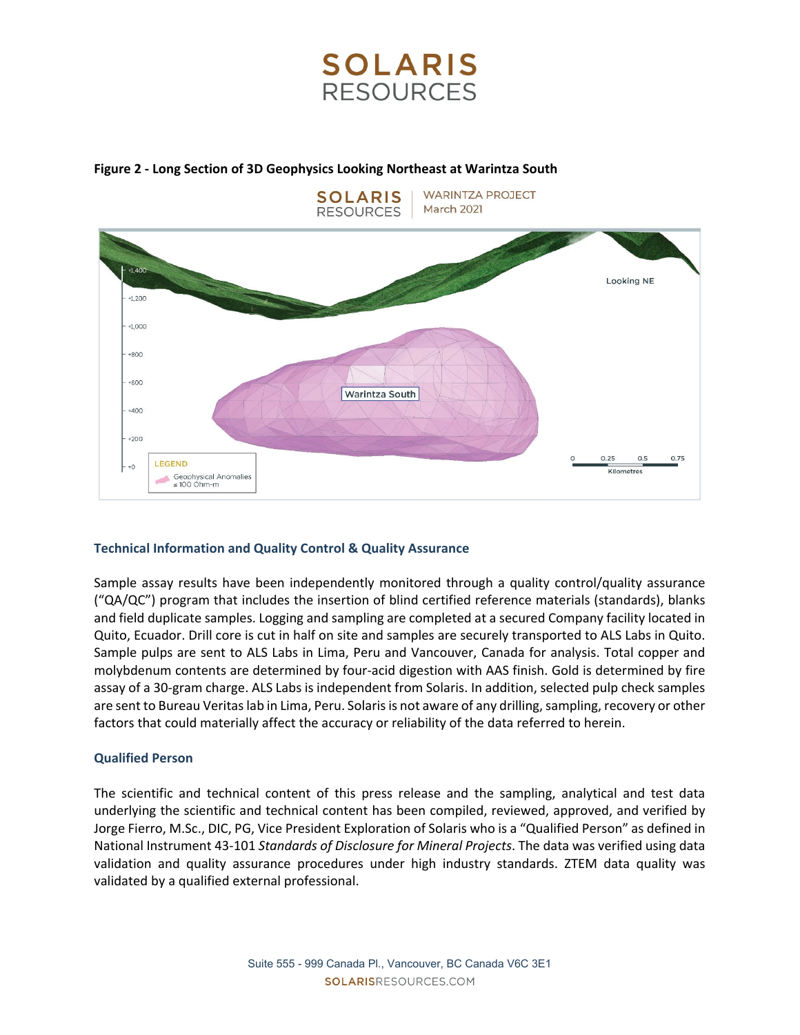



## **Figure 2 ‐ Long Section of 3D Geophysics Looking Northeast at Warintza South**

## **Technical Information and Quality Control & Quality Assurance**

Sample assay results have been independently monitored through a quality control/quality assurance ("QA/QC") program that includes the insertion of blind certified reference materials (standards), blanks and field duplicate samples. Logging and sampling are completed at a secured Company facility located in Quito, Ecuador. Drill core is cut in half on site and samples are securely transported to ALS Labs in Quito. Sample pulps are sent to ALS Labs in Lima, Peru and Vancouver, Canada for analysis. Total copper and molybdenum contents are determined by four‐acid digestion with AAS finish. Gold is determined by fire assay of a 30‐gram charge. ALS Labs is independent from Solaris. In addition, selected pulp check samples are sent to Bureau Veritas lab in Lima, Peru. Solaris is not aware of any drilling, sampling, recovery or other factors that could materially affect the accuracy or reliability of the data referred to herein.

## **Qualified Person**

The scientific and technical content of this press release and the sampling, analytical and test data underlying the scientific and technical content has been compiled, reviewed, approved, and verified by Jorge Fierro, M.Sc., DIC, PG, Vice President Exploration of Solaris who is a "Qualified Person" as defined in National Instrument 43‐101 *Standards of Disclosure for Mineral Projects*. The data was verified using data validation and quality assurance procedures under high industry standards. ZTEM data quality was validated by a qualified external professional.